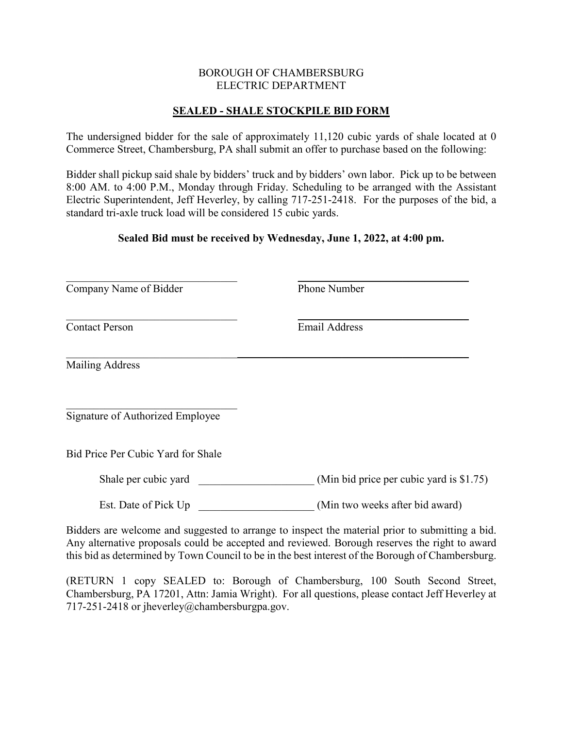## BOROUGH OF CHAMBERSBURG ELECTRIC DEPARTMENT

## **SEALED - SHALE STOCKPILE BID FORM**

The undersigned bidder for the sale of approximately 11,120 cubic yards of shale located at 0 Commerce Street, Chambersburg, PA shall submit an offer to purchase based on the following:

Bidder shall pickup said shale by bidders' truck and by bidders' own labor. Pick up to be between 8:00 AM. to 4:00 P.M., Monday through Friday. Scheduling to be arranged with the Assistant Electric Superintendent, Jeff Heverley, by calling 717-251-2418. For the purposes of the bid, a standard tri-axle truck load will be considered 15 cubic yards.

## **Sealed Bid must be received by Wednesday, June 1, 2022, at 4:00 pm.**

 $\overline{\phantom{a}}$  , and the contribution of the contribution of  $\overline{\phantom{a}}$  , and  $\overline{\phantom{a}}$  , and  $\overline{\phantom{a}}$  , and  $\overline{\phantom{a}}$ 

| Company Name of Bidder             | <b>Phone Number</b>                                                                                                                                                                                                                                                                                   |
|------------------------------------|-------------------------------------------------------------------------------------------------------------------------------------------------------------------------------------------------------------------------------------------------------------------------------------------------------|
| <b>Contact Person</b>              | Email Address                                                                                                                                                                                                                                                                                         |
| <b>Mailing Address</b>             |                                                                                                                                                                                                                                                                                                       |
| Signature of Authorized Employee   |                                                                                                                                                                                                                                                                                                       |
| Bid Price Per Cubic Yard for Shale |                                                                                                                                                                                                                                                                                                       |
| Shale per cubic yard               | (Min bid price per cubic yard is $$1.75$ )                                                                                                                                                                                                                                                            |
| Est. Date of Pick Up               | (Min two weeks after bid award)                                                                                                                                                                                                                                                                       |
|                                    | Bidders are welcome and suggested to arrange to inspect the material prior to submitting a bid.<br>Any alternative proposals could be accepted and reviewed. Borough reserves the right to award<br>this bid as determined by Town Council to be in the best interest of the Borough of Chambersburg. |

(RETURN 1 copy SEALED to: Borough of Chambersburg, 100 South Second Street, Chambersburg, PA 17201, Attn: Jamia Wright). For all questions, please contact Jeff Heverley at 717-251-2418 or jheverley@chambersburgpa.gov.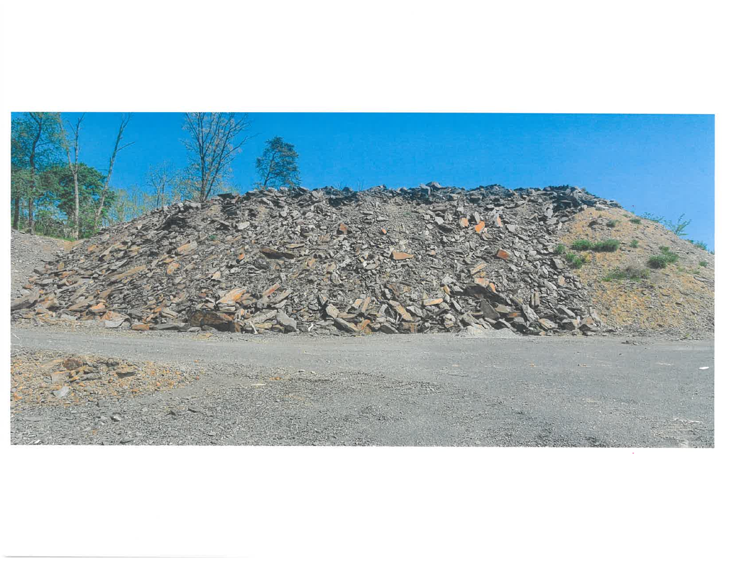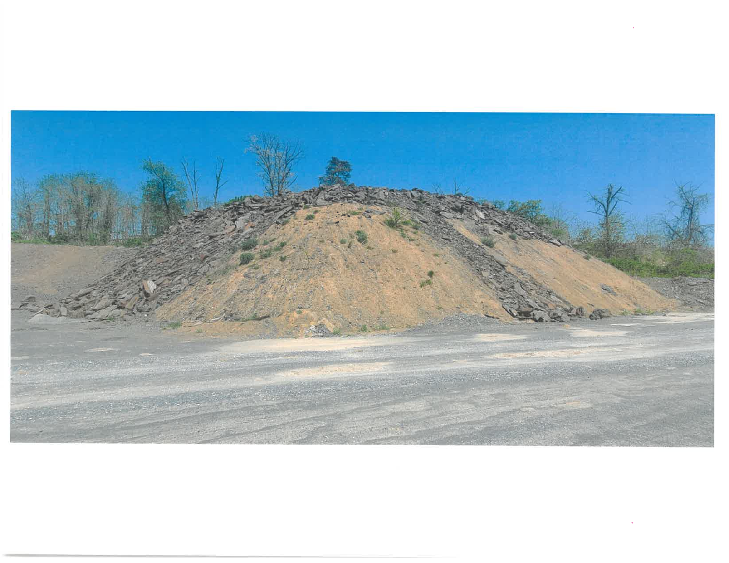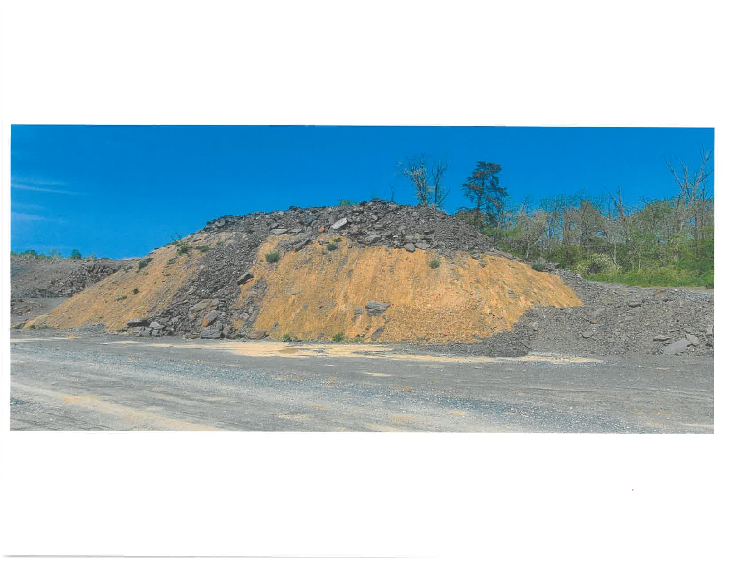